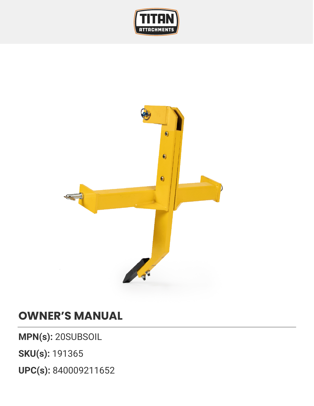



## **OWNER'S MANUAL**

**MPN(s):** 20SUBSOIL

**SKU(s):** 191365

**UPC(s):** 840009211652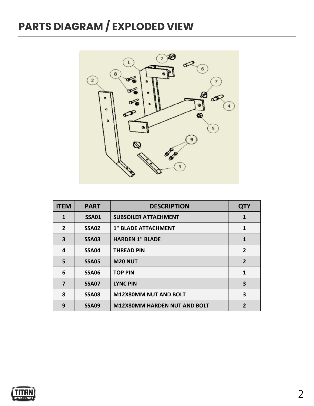## **PARTS DIAGRAM / EXPLODED VIEW**



| <b>ITEM</b>    | <b>PART</b>  | <b>DESCRIPTION</b>                  | <b>QTY</b>     |
|----------------|--------------|-------------------------------------|----------------|
| 1              | <b>SSA01</b> | <b>SUBSOILER ATTACHMENT</b>         | 1              |
| $\overline{2}$ | <b>SSA02</b> | <b>1" BLADE ATTACHMENT</b>          | 1              |
| 3              | <b>SSA03</b> | <b>HARDEN 1" BLADE</b>              | 1              |
| 4              | <b>SSA04</b> | <b>THREAD PIN</b>                   | $\overline{2}$ |
| 5              | <b>SSA05</b> | <b>M20 NUT</b>                      | $\overline{2}$ |
| 6              | <b>SSA06</b> | <b>TOP PIN</b>                      | $\mathbf 1$    |
| 7              | SSA07        | <b>LYNC PIN</b>                     | 3              |
| 8              | <b>SSA08</b> | <b>M12X80MM NUT AND BOLT</b>        | 3              |
| 9              | <b>SSA09</b> | <b>M12X80MM HARDEN NUT AND BOLT</b> | 2              |